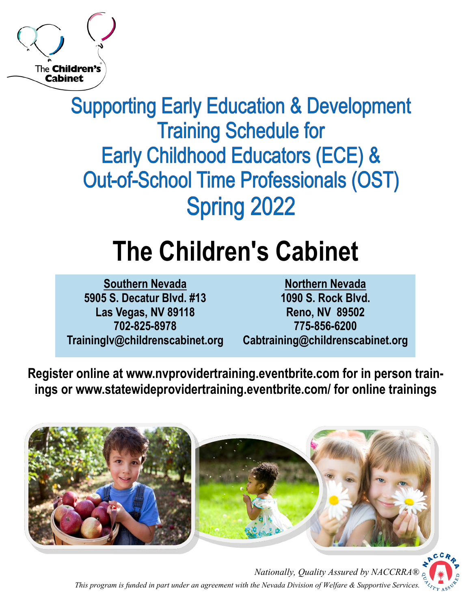

**Supporting Early Education & Development Training Schedule for Early Childhood Educators (ECE) & Out-of-School Time Professionals (OST) Spring 2022** 

# **The Children's Cabinet**

**Southern Nevada 5905 S. Decatur Blvd. #13 Las Vegas, NV 89118 702-825-8978 Traininglv@childrenscabinet.org** 

**Northern Nevada 1090 S. Rock Blvd. Reno, NV 89502 775-856-6200 Cabtraining@childrenscabinet.org** 

**Register online at www.nvprovidertraining.eventbrite.com for in person trainings or www.statewideprovidertraining.eventbrite.com/ for online trainings** 





*Nationally, Quality Assured by NACCRRA® This program is funded in part under an agreement with the Nevada Division of Welfare & Supportive Services.*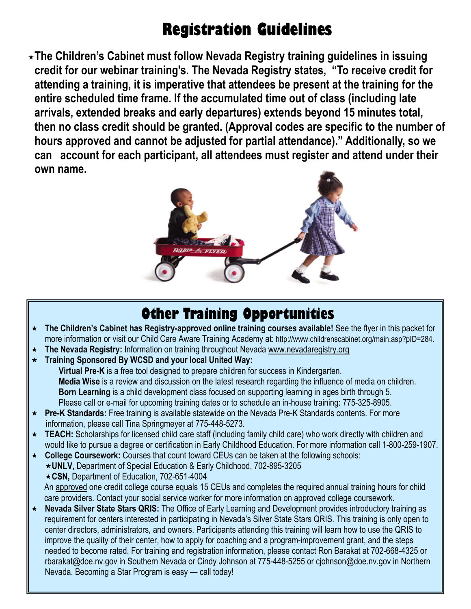## **Registration Guidelines**

**The Children's Cabinet must follow Nevada Registry training guidelines in issuing credit for our webinar training's. The Nevada Registry states, "To receive credit for attending a training, it is imperative that attendees be present at the training for the entire scheduled time frame. If the accumulated time out of class (including late arrivals, extended breaks and early departures) extends beyond 15 minutes total, then no class credit should be granted. (Approval codes are specific to the number of hours approved and cannot be adjusted for partial attendance)." Additionally, so we can account for each participant, all attendees must register and attend under their own name.** 



### **Other Training Opportunities**

- **The Children's Cabinet has Registry-approved online training courses available!** See the flyer in this packet for more information or visit our Child Care Aware Training Academy at: http://www.childrenscabinet.org/main.asp?pID=284.
- ★ The Nevada Registry: Information on training throughout Nevada www.nevadaregistry.org
- **Training Sponsored By WCSD and your local United Way: Virtual Pre-K** is a free tool designed to prepare children for success in Kindergarten. **Media Wise** is a review and discussion on the latest research regarding the influence of media on children.

**Born Learning** is a child development class focused on supporting learning in ages birth through 5. Please call or e-mail for upcoming training dates or to schedule an in-house training: 775-325-8905.

- **Pre-K Standards:** Free training is available statewide on the Nevada Pre-K Standards contents. For more information, please call Tina Springmeyer at 775-448-5273.
- **TEACH:** Scholarships for licensed child care staff (including family child care) who work directly with children and would like to pursue a degree or certification in Early Childhood Education. For more information call 1-800-259-1907.
- **College Coursework:** Courses that count toward CEUs can be taken at the following schools: **UNLV,** Department of Special Education & Early Childhood, 702-895-3205 **CSN,** Department of Education, 702-651-4004 An approved one credit college course equals 15 CEUs and completes the required annual training hours for child care providers. Contact your social service worker for more information on approved college coursework.
- **Nevada Silver State Stars QRIS:** The Office of Early Learning and Development provides introductory training as requirement for centers interested in participating in Nevada's Silver State Stars QRIS. This training is only open to center directors, administrators, and owners. Participants attending this training will learn how to use the QRIS to improve the quality of their center, how to apply for coaching and a program-improvement grant, and the steps needed to become rated. For training and registration information, please contact Ron Barakat at 702-668-4325 or rbarakat@doe.nv.gov in Southern Nevada or Cindy Johnson at 775-448-5255 or cjohnson@doe.nv.gov in Northern Nevada. Becoming a Star Program is easy — call today!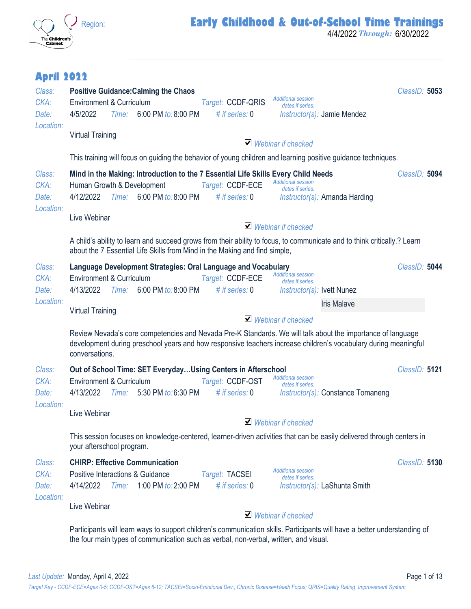

4/4/2022 *Through:* 6/30/2022

#### **April 2022**

| Class:<br>CKA:<br>Date:              | <b>Positive Guidance: Calming the Chaos</b><br><b>Additional session</b><br>Environment & Curriculum<br>Target: CCDF-QRIS<br>dates if series:<br>4/5/2022<br>Time: 6:00 PM to: 8:00 PM<br># if series: $0$<br>$Instructor(s)$ : Jamie Mendez                                               | ClassID: 5053 |
|--------------------------------------|--------------------------------------------------------------------------------------------------------------------------------------------------------------------------------------------------------------------------------------------------------------------------------------------|---------------|
| Location:                            | <b>Virtual Training</b><br>$\blacktriangleright$ Webinar if checked                                                                                                                                                                                                                        |               |
|                                      | This training will focus on guiding the behavior of young children and learning positive guidance techniques.                                                                                                                                                                              |               |
| Class:<br>CKA:<br>Date:<br>Location: | Mind in the Making: Introduction to the 7 Essential Life Skills Every Child Needs<br><b>Additional session</b><br>Human Growth & Development<br>Target: CCDF-ECE<br>dates if series:<br>Time: 6:00 PM to: 8:00 PM<br>4/12/2022<br># if series: $0$<br><i>Instructor(s):</i> Amanda Harding | ClassID: 5094 |
|                                      | Live Webinar<br>$\blacktriangleright$ Webinar if checked                                                                                                                                                                                                                                   |               |
|                                      | A child's ability to learn and succeed grows from their ability to focus, to communicate and to think critically.? Learn<br>about the 7 Essential Life Skills from Mind in the Making and find simple,                                                                                     |               |
| Class:<br>CKA:<br>Date:              | Language Development Strategies: Oral Language and Vocabulary<br><b>Additional session</b><br>Environment & Curriculum<br>Target: CCDF-ECE<br>dates if series:<br>4/13/2022<br>Time: 6:00 PM to: 8:00 PM<br># if series: $0$<br>Instructor(s): Ivett Nunez                                 | ClassID: 5044 |
| Location:                            | <b>Iris Malave</b><br><b>Virtual Training</b>                                                                                                                                                                                                                                              |               |
|                                      | $\vee$ Webinar if checked                                                                                                                                                                                                                                                                  |               |
|                                      | Review Nevada's core competencies and Nevada Pre-K Standards. We will talk about the importance of language<br>development during preschool years and how responsive teachers increase children's vocabulary during meaningful<br>conversations.                                           |               |
| Class:                               | Out of School Time: SET EverydayUsing Centers in Afterschool<br><b>Additional session</b>                                                                                                                                                                                                  | ClassID: 5121 |
| CKA:<br>Date:                        | Environment & Curriculum<br>Target: CCDF-OST<br>dates if series:<br>4/13/2022 Time: 5:30 PM to: 6:30 PM<br># if series: 0<br>Instructor(s): Constance Tomaneng                                                                                                                             |               |
| Location:                            | Live Webinar<br>$\blacktriangleright$ Webinar if checked                                                                                                                                                                                                                                   |               |
|                                      | This session focuses on knowledge-centered, learner-driven activities that can be easily delivered through centers in<br>your afterschool program.                                                                                                                                         |               |
| Class:<br>CKA:<br>Date:<br>Location: | <b>CHIRP: Effective Communication</b><br><b>Additional session</b><br>Positive Interactions & Guidance<br>Target: TACSEI<br>dates if series:<br>4/14/2022<br>1:00 PM to: 2:00 PM<br># if series: $0$<br>Time:<br><i>Instructor(s):</i> LaShunta Smith                                      | ClassID: 5130 |
|                                      | Live Webinar<br>$\blacktriangleright$ Webinar if checked                                                                                                                                                                                                                                   |               |
|                                      | Participants will learn ways to support children's communication skills. Participants will have a better understanding of<br>the four main types of communication such as verbal, non-verbal, written, and visual.                                                                         |               |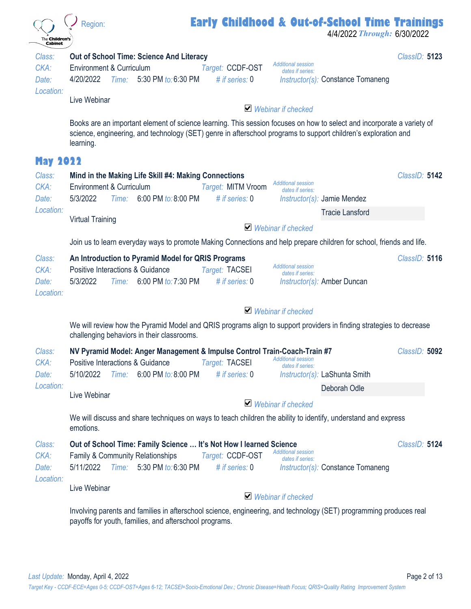| The Children's<br>Cabinet            | Early Childhood & Out-of-School Time Trainings<br>Region:<br>4/4/2022 Through: 6/30/2022                                                                                                                                                                                                  |               |
|--------------------------------------|-------------------------------------------------------------------------------------------------------------------------------------------------------------------------------------------------------------------------------------------------------------------------------------------|---------------|
| Class:<br>CKA:<br>Date:              | <b>Out of School Time: Science And Literacy</b><br><b>Additional session</b><br><b>Environment &amp; Curriculum</b><br>Target: CCDF-OST<br>dates if series:<br>4/20/2022<br>Time: 5:30 PM to: 6:30 PM<br># if series: $0$<br>Instructor(s): Constance Tomaneng                            | ClassID: 5123 |
| Location:                            | Live Webinar<br>$\blacktriangleright$ Webinar if checked                                                                                                                                                                                                                                  |               |
|                                      | Books are an important element of science learning. This session focuses on how to select and incorporate a variety of<br>science, engineering, and technology (SET) genre in afterschool programs to support children's exploration and<br>learning.                                     |               |
| <b>May 2022</b>                      |                                                                                                                                                                                                                                                                                           |               |
| Class:<br>CKA:<br>Date:              | Mind in the Making Life Skill #4: Making Connections<br><b>Additional session</b><br>Environment & Curriculum<br>Target: MITM Vroom<br>dates if series:<br>5/3/2022<br>6:00 PM to: 8:00 PM<br># if series: $0$<br>Time:<br>$Instructor(s)$ : Jamie Mendez                                 | ClassID: 5142 |
| Location:                            | <b>Tracie Lansford</b>                                                                                                                                                                                                                                                                    |               |
|                                      | <b>Virtual Training</b><br>$\blacktriangleright$ Webinar if checked                                                                                                                                                                                                                       |               |
|                                      | Join us to learn everyday ways to promote Making Connections and help prepare children for school, friends and life.                                                                                                                                                                      |               |
| Class:<br>CKA:<br>Date:<br>Location: | An Introduction to Pyramid Model for QRIS Programs<br><b>Additional session</b><br>Positive Interactions & Guidance<br>Target: TACSEI<br>dates if series:<br>6:00 PM to: 7:30 PM<br>5/3/2022<br># if series: $0$<br>Instructor(s): Amber Duncan<br>Time:                                  | ClassID: 5116 |
|                                      | $\blacktriangleright$ Webinar if checked                                                                                                                                                                                                                                                  |               |
|                                      | We will review how the Pyramid Model and QRIS programs align to support providers in finding strategies to decrease<br>challenging behaviors in their classrooms.                                                                                                                         |               |
| Class:<br>CKA:<br>Date:              | NV Pyramid Model: Anger Management & Impulse Control Train-Coach-Train #7<br><b>Additional session</b><br>Positive Interactions & Guidance<br>Target: TACSEI<br>dates if series:<br># if series: $0$<br>6:00 PM to: 8:00 PM<br>5/10/2022<br>Time:<br>Instructor(s): LaShunta Smith        | ClassID: 5092 |
| Location:                            | Deborah Odle<br>Live Webinar                                                                                                                                                                                                                                                              |               |
|                                      | $\vee$ Webinar if checked                                                                                                                                                                                                                                                                 |               |
|                                      | We will discuss and share techniques on ways to teach children the ability to identify, understand and express<br>emotions.                                                                                                                                                               |               |
| Class:<br>CKA:<br>Date:<br>Location: | Out of School Time: Family Science  It's Not How I learned Science<br><b>Additional session</b><br><b>Family &amp; Community Relationships</b><br>Target: CCDF-OST<br>dates if series:<br>Time: 5:30 PM to: 6:30 PM<br># if series: $0$<br>5/11/2022<br>Instructor(s): Constance Tomaneng | ClassID: 5124 |
|                                      | Live Webinar<br>$\vee$ Webinar if checked                                                                                                                                                                                                                                                 |               |
|                                      | Involving parents and families in afterschool science, engineering, and technology (SET) programming produces real                                                                                                                                                                        |               |
|                                      | payoffs for youth, families, and afterschool programs.                                                                                                                                                                                                                                    |               |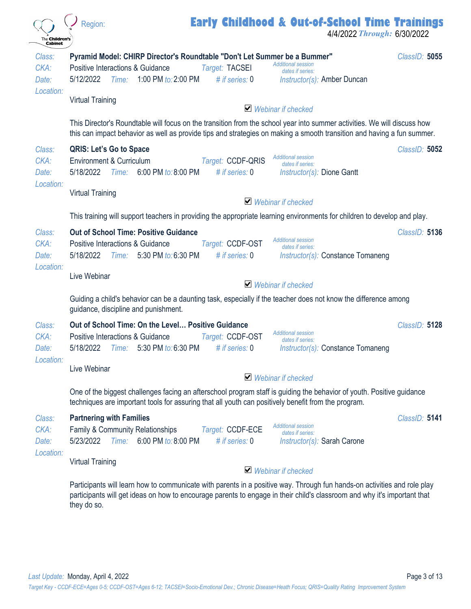| The <b>Children's</b><br><b>Cabinet</b> | <b>Early Childhood &amp; Out-of-School Time Trainings</b><br>Region:<br>4/4/2022 Through: 6/30/2022                                                                                                                                                                                                |               |
|-----------------------------------------|----------------------------------------------------------------------------------------------------------------------------------------------------------------------------------------------------------------------------------------------------------------------------------------------------|---------------|
| Class:<br>CKA:<br>Date:                 | Pyramid Model: CHIRP Director's Roundtable "Don't Let Summer be a Bummer"<br><b>Additional session</b><br><b>Positive Interactions &amp; Guidance</b><br>Target: TACSEI<br>dates if series:<br>1:00 PM to: 2:00 PM<br>5/12/2022<br># if series: $0$<br>Time:<br><i>Instructor(s):</i> Amber Duncan | ClassID: 5055 |
| Location:                               | <b>Virtual Training</b><br>$\vee$ Webinar if checked                                                                                                                                                                                                                                               |               |
|                                         | This Director's Roundtable will focus on the transition from the school year into summer activities. We will discuss how<br>this can impact behavior as well as provide tips and strategies on making a smooth transition and having a fun summer.                                                 |               |
| Class:<br>CKA:<br>Date:                 | <b>QRIS: Let's Go to Space</b><br><b>Additional session</b><br>Environment & Curriculum<br>Target: CCDF-QRIS<br>dates if series:<br>6:00 PM to: 8:00 PM<br># if series: $0$<br>5/18/2022<br>Time:<br><i>Instructor(s):</i> Dione Gantt                                                             | ClassID: 5052 |
| Location:                               | <b>Virtual Training</b><br>$\blacktriangleright$ Webinar if checked                                                                                                                                                                                                                                |               |
|                                         | This training will support teachers in providing the appropriate learning environments for children to develop and play.                                                                                                                                                                           |               |
| Class:<br>CKA:<br>Date:                 | <b>Out of School Time: Positive Guidance</b><br><b>Additional session</b><br>Positive Interactions & Guidance<br>Target: CCDF-OST<br>dates if series:<br>5/18/2022<br>5:30 PM to: 6:30 PM<br># if series: $0$<br>Time:<br>Instructor(s): Constance Tomaneng                                        | ClassID: 5136 |
| Location:                               | Live Webinar<br>$\vee$ Webinar if checked                                                                                                                                                                                                                                                          |               |
|                                         | Guiding a child's behavior can be a daunting task, especially if the teacher does not know the difference among<br>guidance, discipline and punishment.                                                                                                                                            |               |
| Class:<br>CKA:<br>Date:                 | Out of School Time: On the Level Positive Guidance<br><b>Additional session</b><br>Positive Interactions & Guidance<br>Target: CCDF-OST<br>dates if series:<br>5/18/2022<br>5:30 PM to: 6:30 PM<br># if series: $0$<br>Instructor(s): Constance Tomaneng<br>Time:                                  | ClassID: 5128 |
| Location:                               | Live Webinar<br>$\vee$ Webinar if checked                                                                                                                                                                                                                                                          |               |
|                                         | One of the biggest challenges facing an afterschool program staff is guiding the behavior of youth. Positive guidance<br>techniques are important tools for assuring that all youth can positively benefit from the program.                                                                       |               |
| Class:<br>CKA:<br>Date:                 | <b>Partnering with Families</b><br><b>Additional session</b><br>Family & Community Relationships<br>Target: CCDF-ECE<br>dates if series:<br>6:00 PM to: 8:00 PM<br>5/23/2022<br>Time:<br># if series: $0$<br>Instructor(s): Sarah Carone                                                           | ClassID: 5141 |
| Location:                               | <b>Virtual Training</b><br>$\triangleright$ Webinar if checked                                                                                                                                                                                                                                     |               |
|                                         | Participants will learn how to communicate with parents in a positive way. Through fun hands-on activities and role play<br>participants will get ideas on how to encourage parents to engage in their child's classroom and why it's important that<br>they do so.                                |               |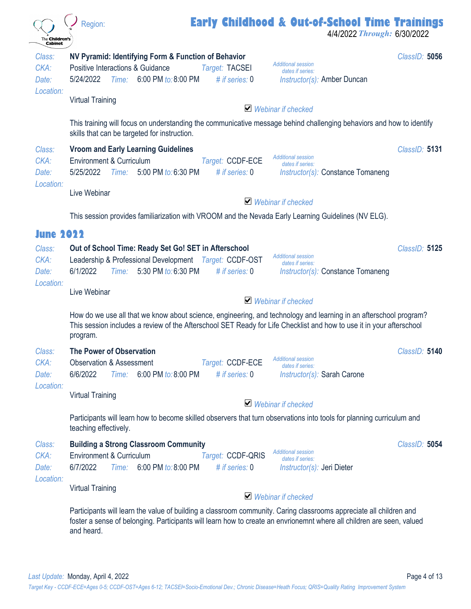| The <b>Children's</b><br><b>Cabinet</b>                  | <b>Early Childhood &amp; Out-of-School Time Trainings</b><br>Region:<br>4/4/2022 Through: 6/30/2022                                                                                                                                                                  |               |
|----------------------------------------------------------|----------------------------------------------------------------------------------------------------------------------------------------------------------------------------------------------------------------------------------------------------------------------|---------------|
| Class:<br>CKA:<br>Date:                                  | NV Pyramid: Identifying Form & Function of Behavior<br><b>Additional session</b><br>Positive Interactions & Guidance<br>Target: TACSEI<br>dates if series:<br>Time: 6:00 PM to: 8:00 PM<br># if series: $0$<br>5/24/2022<br><i>Instructor(s):</i> Amber Duncan       | ClassID: 5056 |
| Location:                                                | <b>Virtual Training</b><br>$\blacktriangleright$ Webinar if checked                                                                                                                                                                                                  |               |
|                                                          | This training will focus on understanding the communicative message behind challenging behaviors and how to identify<br>skills that can be targeted for instruction.                                                                                                 |               |
| Class:<br>CKA:<br>Date:<br>Location:                     | <b>Vroom and Early Learning Guidelines</b><br><b>Additional session</b><br>Environment & Curriculum<br>Target: CCDF-ECE<br>dates if series:<br># if series: $0$<br>5/25/2022<br>Time: 5:00 PM to: 6:30 PM<br>Instructor(s): Constance Tomaneng                       | ClassID: 5131 |
|                                                          | Live Webinar<br>$\blacktriangleright$ Webinar if checked                                                                                                                                                                                                             |               |
|                                                          | This session provides familiarization with VROOM and the Nevada Early Learning Guidelines (NV ELG).                                                                                                                                                                  |               |
| <b>June 2022</b><br>Class:<br>CKA:<br>Date:<br>Location: | Out of School Time: Ready Set Go! SET in Afterschool<br><b>Additional session</b><br>Leadership & Professional Development Target: CCDF-OST<br>dates if series:<br>6/1/2022<br>5:30 PM to: 6:30 PM<br>Time:<br># if series: $0$<br>Instructor(s): Constance Tomaneng | ClassID: 5125 |
|                                                          | Live Webinar<br>$\blacktriangleright$ Webinar if checked                                                                                                                                                                                                             |               |
|                                                          | How do we use all that we know about science, engineering, and technology and learning in an afterschool program?<br>This session includes a review of the Afterschool SET Ready for Life Checklist and how to use it in your afterschool<br>program.                |               |
| Class:<br>CKA:<br>Date:                                  | <b>The Power of Observation</b><br><b>Additional session</b><br><b>Observation &amp; Assessment</b><br>Target: CCDF-ECE<br>dates if series:<br>6/6/2022<br>6:00 PM to: 8:00 PM<br># if series: $0$<br>Instructor(s): Sarah Carone<br>Time:                           | ClassID: 5140 |
| Location:                                                | <b>Virtual Training</b><br>$\vee$ Webinar if checked                                                                                                                                                                                                                 |               |
|                                                          | Participants will learn how to become skilled observers that turn observations into tools for planning curriculum and<br>teaching effectively.                                                                                                                       |               |
| Class:<br>CKA:<br>Date:<br>Location:                     | <b>Building a Strong Classroom Community</b><br><b>Additional session</b><br>Environment & Curriculum<br>Target: CCDF-QRIS<br>dates if series:<br>6/7/2022<br>Time: 6:00 PM to: 8:00 PM<br># if series: $0$<br>$Instructor(s):$ Jeri Dieter                          | ClassID: 5054 |
|                                                          | <b>Virtual Training</b><br>$\blacktriangleright$ Webinar if checked                                                                                                                                                                                                  |               |
|                                                          | Participants will learn the value of building a classroom community. Caring classrooms appreciate all children and<br>foster a sense of belonging. Participants will learn how to create an envrionemnt where all children are seen, valued<br>and heard.            |               |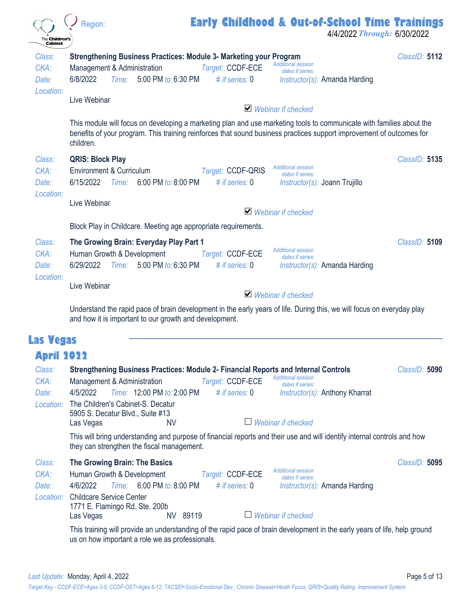| The <b>Children's</b><br><b>Cabinet</b> | <b>Early Childhood &amp; Out-of-School Time Trainings</b><br>Region:<br>4/4/2022 Through: 6/30/2022                                                                                                                                                                                                                                                                                                              |               |
|-----------------------------------------|------------------------------------------------------------------------------------------------------------------------------------------------------------------------------------------------------------------------------------------------------------------------------------------------------------------------------------------------------------------------------------------------------------------|---------------|
| Class:<br>CKA:<br>Date:<br>Location:    | Strengthening Business Practices: Module 3- Marketing your Program<br><b>Additional session</b><br>Target: CCDF-ECE<br>Management & Administration<br>dates if series:<br>6/8/2022<br>5:00 PM to: 6:30 PM<br># if series: $0$<br>Time:<br>Instructor(s): Amanda Harding                                                                                                                                          | ClassID: 5112 |
|                                         | Live Webinar<br>■ Webinar if checked                                                                                                                                                                                                                                                                                                                                                                             |               |
|                                         | This module will focus on developing a marketing plan and use marketing tools to communicate with families about the<br>benefits of your program. This training reinforces that sound business practices support improvement of outcomes for<br>children.                                                                                                                                                        |               |
| Class:<br>CKA:<br>Date:<br>Location:    | <b>QRIS: Block Play</b><br><b>Additional session</b><br>Environment & Curriculum<br>Target: CCDF-QRIS<br>dates if series:<br># if series: 0<br>6/15/2022<br>6:00 PM to: 8:00 PM<br><i>Time:</i><br><i>Instructor(s): Joann Trujillo</i>                                                                                                                                                                          | ClassID: 5135 |
|                                         | Live Webinar<br>$\vee$ Webinar if checked                                                                                                                                                                                                                                                                                                                                                                        |               |
|                                         | Block Play in Childcare. Meeting age appropriate requirements.                                                                                                                                                                                                                                                                                                                                                   |               |
| Class:<br>CKA:<br>Date:                 | The Growing Brain: Everyday Play Part 1<br><b>Additional session</b><br>Human Growth & Development<br>Target: CCDF-ECE<br>dates if series:<br>5:00 PM to: 6:30 PM<br># if series: 0<br>6/29/2022<br>Time:<br>Instructor(s): Amanda Harding                                                                                                                                                                       | ClassID: 5109 |
| Location:                               | Live Webinar<br>$\blacktriangleright$ Webinar if checked                                                                                                                                                                                                                                                                                                                                                         |               |
|                                         | Understand the rapid pace of brain development in the early years of life. During this, we will focus on everyday play<br>and how it is important to our growth and development.                                                                                                                                                                                                                                 |               |
| <b>Las Vegas</b>                        |                                                                                                                                                                                                                                                                                                                                                                                                                  |               |
| <b>April 2022</b>                       |                                                                                                                                                                                                                                                                                                                                                                                                                  |               |
| Class:<br>CKA:<br>Date:<br>Location:    | Strengthening Business Practices: Module 2- Financial Reports and Internal Controls<br><b>Additional session</b><br>Management & Administration<br>Target: CCDF-ECE<br>dates if series:<br>Time: 12:00 PM to: 2:00 PM<br>4/5/2022<br># if series: $0$<br><i>Instructor(s):</i> Anthony Kharrat<br>The Children's Cabinet-S. Decatur<br>5905 S. Decatur Blvd., Suite #13<br>Webinar if checked<br>Las Vegas<br>NV | ClassID: 5090 |
|                                         | This will bring understanding and purpose of financial reports and their use and will identify internal controls and how<br>they can strengthen the fiscal management.                                                                                                                                                                                                                                           |               |
| Class:<br>CKA:<br>Date:<br>Location:    | The Growing Brain: The Basics<br><b>Additional session</b><br>Human Growth & Development<br>Target: CCDF-ECE<br>dates if series:<br>4/6/2022<br>6:00 PM to: 8:00 PM<br># if series: $0$<br>Time:<br>Instructor(s): Amanda Harding<br><b>Childcare Service Center</b><br>1771 E. Flamingo Rd. Ste. 200b<br>Webinar if checked<br>NV 89119<br>Las Vegas                                                            | ClassID: 5095 |
|                                         | This training will provide an understanding of the rapid pace of brain development in the early years of life, help ground<br>us on how important a role we as professionals.                                                                                                                                                                                                                                    |               |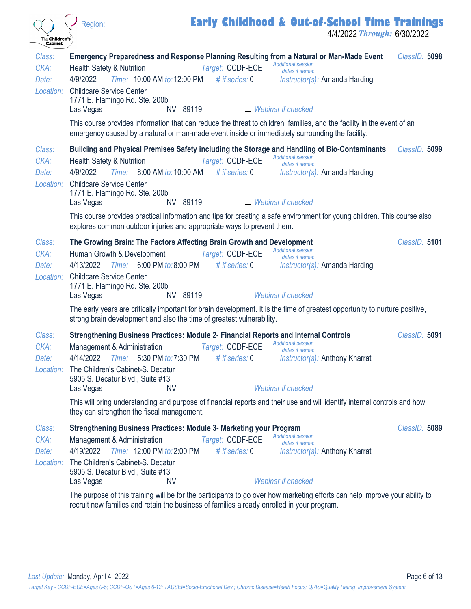| The Children's<br><b>Cabinet</b>     | <b>Early Childhood &amp; Out-of-School Time Trainings</b><br>Region:<br>4/4/2022 Through: 6/30/2022                                                                                                                                                                                                                                                                                                                                                                                                                                       |               |
|--------------------------------------|-------------------------------------------------------------------------------------------------------------------------------------------------------------------------------------------------------------------------------------------------------------------------------------------------------------------------------------------------------------------------------------------------------------------------------------------------------------------------------------------------------------------------------------------|---------------|
| Class:<br>CKA:<br>Date:<br>Location: | Emergency Preparedness and Response Planning Resulting from a Natural or Man-Made Event<br><b>Additional session</b><br>Target: CCDF-ECE<br><b>Health Safety &amp; Nutrition</b><br>dates if series:<br>Time: 10:00 AM to: 12:00 PM<br>4/9/2022<br># if series: $0$<br>Instructor(s): Amanda Harding<br><b>Childcare Service Center</b><br>1771 E. Flamingo Rd. Ste. 200b<br>Webinar if checked<br>NV 89119<br>Las Vegas                                                                                                                  | ClassID: 5098 |
|                                      | This course provides information that can reduce the threat to children, families, and the facility in the event of an<br>emergency caused by a natural or man-made event inside or immediately surrounding the facility.                                                                                                                                                                                                                                                                                                                 |               |
| Class:<br>CKA:<br>Date:<br>Location: | Building and Physical Premises Safety including the Storage and Handling of Bio-Contaminants<br><b>Additional session</b><br>Target: CCDF-ECE<br><b>Health Safety &amp; Nutrition</b><br>dates if series:<br>4/9/2022<br>Time: 8:00 AM to: 10:00 AM<br># if series: $0$<br><i>Instructor(s):</i> Amanda Harding<br><b>Childcare Service Center</b><br>1771 E. Flamingo Rd. Ste. 200b<br>$\Box$ Webinar if checked<br>NV 89119<br>Las Vegas                                                                                                | ClassID: 5099 |
|                                      | This course provides practical information and tips for creating a safe environment for young children. This course also<br>explores common outdoor injuries and appropriate ways to prevent them.                                                                                                                                                                                                                                                                                                                                        |               |
| Class:<br>CKA:<br>Date:<br>Location: | The Growing Brain: The Factors Affecting Brain Growth and Development<br><b>Additional session</b><br>Human Growth & Development<br>Target: CCDF-ECE<br>dates if series:<br>4/13/2022<br>Time:<br>6:00 PM to: 8:00 PM<br># if series: 0<br><i>Instructor(s):</i> Amanda Harding<br><b>Childcare Service Center</b><br>1771 E. Flamingo Rd. Ste. 200b<br>$\Box$ Webinar if checked<br>NV 89119<br>Las Vegas<br>The early years are critically important for brain development. It is the time of greatest opportunity to nurture positive, | ClassID: 5101 |
|                                      | strong brain development and also the time of greatest vulnerability.                                                                                                                                                                                                                                                                                                                                                                                                                                                                     |               |
| Class:<br>CKA:<br>Date:<br>Location: | Strengthening Business Practices: Module 2- Financial Reports and Internal Controls<br><b>Additional session</b><br>Management & Administration<br>Target: CCDF-ECE<br>dates if series:<br>4/14/2022 Time: 5:30 PM to: 7:30 PM # if series: 0<br>Instructor(s): Anthony Kharrat<br>The Children's Cabinet-S. Decatur<br>5905 S. Decatur Blvd., Suite #13<br>Webinar if checked<br>NV<br>Las Vegas<br>This will bring understanding and purpose of financial reports and their use and will identify internal controls and how             | ClassID: 5091 |
|                                      | they can strengthen the fiscal management.                                                                                                                                                                                                                                                                                                                                                                                                                                                                                                |               |
| Class:<br>CKA:<br>Date:<br>Location: | Strengthening Business Practices: Module 3- Marketing your Program<br><b>Additional session</b><br>Target: CCDF-ECE<br>Management & Administration<br>dates if series:<br>Time: 12:00 PM to: 2:00 PM<br>4/19/2022<br># if series: $0$<br><i>Instructor(s):</i> Anthony Kharrat<br>The Children's Cabinet-S. Decatur<br>5905 S. Decatur Blvd., Suite #13                                                                                                                                                                                   | ClassID: 5089 |
|                                      | Webinar if checked<br>Las Vegas<br><b>NV</b><br>The purpose of this training will be for the participants to go over how marketing efforts can help improve your ability to                                                                                                                                                                                                                                                                                                                                                               |               |

 $\overline{a}$ 

The purpose of this training will be for the participants to go over how marketing efforts can help improve your ability to recruit new families and retain the business of families already enrolled in your program.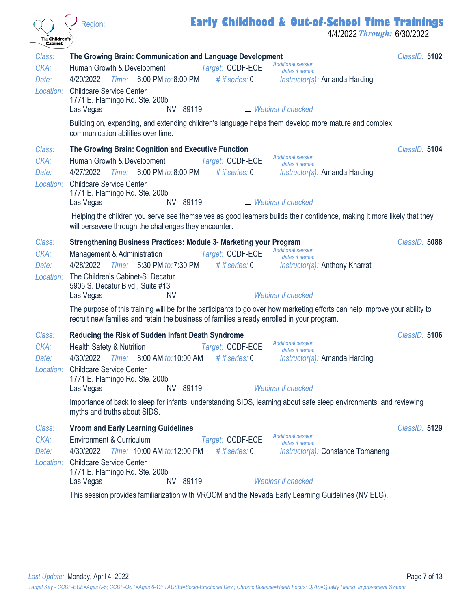| The <b>Children's</b>                     | <b>Early Childhood &amp; Out-of-School Time Trainings</b><br>Region:<br>4/4/2022 Through: 6/30/2022                                                                                                                                                                                                                                                                                                                                                                                                                       |               |
|-------------------------------------------|---------------------------------------------------------------------------------------------------------------------------------------------------------------------------------------------------------------------------------------------------------------------------------------------------------------------------------------------------------------------------------------------------------------------------------------------------------------------------------------------------------------------------|---------------|
| <b>Cabinet</b><br>Class:<br>CKA:<br>Date: | The Growing Brain: Communication and Language Development<br><b>Additional session</b><br>Target: CCDF-ECE<br>Human Growth & Development<br>dates if series:<br>6:00 PM to: 8:00 PM<br>4/20/2022<br>Time:<br># if series: $0$<br>Instructor(s): Amanda Harding<br>Location: Childcare Service Center<br>1771 E. Flamingo Rd. Ste. 200b<br>NV 89119<br>$\overline{\phantom{a}}$<br>Webinar if checked<br>Las Vegas<br>Building on, expanding, and extending children's language helps them develop more mature and complex | ClassID: 5102 |
| Class:<br>CKA:<br>Date:                   | communication abilities over time.<br>The Growing Brain: Cognition and Executive Function<br><b>Additional session</b><br>Human Growth & Development<br>Target: CCDF-ECE<br>dates if series:<br>6:00 PM to: 8:00 PM<br>4/27/2022<br>Time:<br># if series: $0$<br>Instructor(s): Amanda Harding<br>Location: Childcare Service Center<br>1771 E. Flamingo Rd. Ste. 200b<br>NV 89119<br>Webinar if checked<br>$\begin{array}{c} \hline \end{array}$<br>Las Vegas                                                            | ClassID: 5104 |
| Class:<br>CKA:                            | Helping the children you serve see themselves as good learners builds their confidence, making it more likely that they<br>will persevere through the challenges they encounter.<br><b>Strengthening Business Practices: Module 3- Marketing your Program</b><br><b>Additional session</b><br>Target: CCDF-ECE<br>Management & Administration<br>dates if series:                                                                                                                                                         | ClassID: 5088 |
| Date:<br>Location:                        | 5:30 PM to: 7:30 PM<br>4/28/2022<br># if series: $0$<br>Time:<br><i>Instructor(s):</i> Anthony Kharrat<br>The Children's Cabinet-S. Decatur<br>5905 S. Decatur Blvd., Suite #13<br>Webinar if checked<br><b>NV</b><br>$\Box$<br>Las Vegas<br>The purpose of this training will be for the participants to go over how marketing efforts can help improve your ability to                                                                                                                                                  |               |
| Class:<br>CKA:<br>Date:                   | recruit new families and retain the business of families already enrolled in your program.<br><b>Reducing the Risk of Sudden Infant Death Syndrome</b><br><b>Additional session</b><br>Target: CCDF-ECE<br>Health Safety & Nutrition<br>dates if series:<br>4/30/2022 Time: 8:00 AM to: 10:00 AM # if series: 0<br><i>Instructor(s):</i> Amanda Harding                                                                                                                                                                   | ClassID: 5106 |
|                                           | Location: Childcare Service Center<br>1771 E. Flamingo Rd. Ste. 200b<br>$\Box$ Webinar if checked<br>NV 89119<br>Las Vegas<br>Importance of back to sleep for infants, understanding SIDS, learning about safe sleep environments, and reviewing<br>myths and truths about SIDS.                                                                                                                                                                                                                                          |               |
| Class:<br>CKA:<br>Date:<br>Location:      | <b>Vroom and Early Learning Guidelines</b><br><b>Additional session</b><br>Environment & Curriculum<br>Target: CCDF-ECE<br>dates if series:<br>Time: 10:00 AM to: 12:00 PM # if series: 0<br>4/30/2022<br>Instructor(s): Constance Tomaneng<br><b>Childcare Service Center</b><br>1771 E. Flamingo Rd. Ste. 200b<br>$\Box$ Webinar if checked<br>NV 89119<br>Las Vegas<br>This session provides familiarization with VROOM and the Nevada Early Learning Guidelines (NV ELG).                                             | ClassID: 5129 |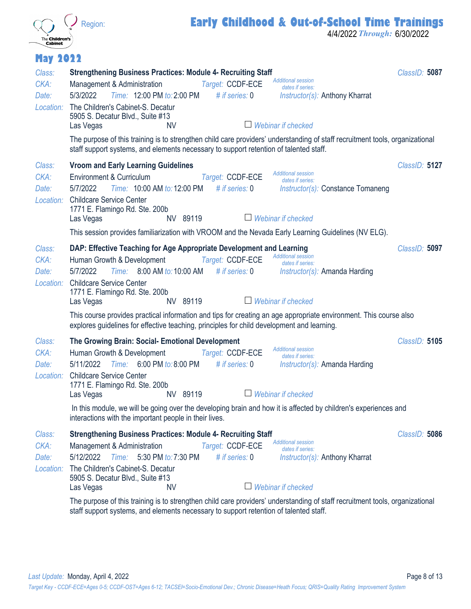

#### **Early Childhood & Out-of-School Time Trainings**

4/4/2022 *Through:* 6/30/2022

| <b>May 2022</b>                      |                                                                                                                                                                                                                                                                                                                                                                                                                                                                                                                                                                                                                                                                                                                               |               |
|--------------------------------------|-------------------------------------------------------------------------------------------------------------------------------------------------------------------------------------------------------------------------------------------------------------------------------------------------------------------------------------------------------------------------------------------------------------------------------------------------------------------------------------------------------------------------------------------------------------------------------------------------------------------------------------------------------------------------------------------------------------------------------|---------------|
| Class:<br>CKA:<br>Date:<br>Location: | <b>Strengthening Business Practices: Module 4- Recruiting Staff</b><br><b>Additional session</b><br>Target: CCDF-ECE<br>Management & Administration<br>dates if series:<br>Time: 12:00 PM to: 2:00 PM<br>5/3/2022<br># if series: $0$<br><i>Instructor(s):</i> Anthony Kharrat<br>The Children's Cabinet-S. Decatur<br>5905 S. Decatur Blvd., Suite #13<br>$\Box$ Webinar if checked<br>Las Vegas<br><b>NV</b><br>The purpose of this training is to strengthen child care providers' understanding of staff recruitment tools, organizational                                                                                                                                                                                | ClassID: 5087 |
| Class:<br>CKA:<br>Date:<br>Location: | staff support systems, and elements necessary to support retention of talented staff.<br><b>Vroom and Early Learning Guidelines</b><br><b>Additional session</b><br>Environment & Curriculum<br>Target: CCDF-ECE<br>dates if series:<br>5/7/2022<br>Time: 10:00 AM to: 12:00 PM # if series: 0<br>Instructor(s): Constance Tomaneng<br><b>Childcare Service Center</b><br>1771 E. Flamingo Rd. Ste. 200b<br>$\Box$ Webinar if checked<br>NV 89119<br>Las Vegas                                                                                                                                                                                                                                                                | ClassID: 5127 |
| Class:<br>CKA:<br>Date:<br>Location: | This session provides familiarization with VROOM and the Nevada Early Learning Guidelines (NV ELG).<br>DAP: Effective Teaching for Age Appropriate Development and Learning<br><b>Additional session</b><br>Target: CCDF-ECE<br>Human Growth & Development<br>dates if series:<br>5/7/2022<br>Time: 8:00 AM to: 10:00 AM<br># if series: $0$<br>$Instructor(s):$ Amanda Harding<br><b>Childcare Service Center</b><br>1771 E. Flamingo Rd. Ste. 200b<br>NV 89119<br>$\Box$ Webinar if checked<br>Las Vegas<br>This course provides practical information and tips for creating an age appropriate environment. This course also<br>explores guidelines for effective teaching, principles for child development and learning. | ClassID: 5097 |
| Class:<br>CKA:<br>Date:<br>Location: | The Growing Brain: Social- Emotional Development<br><b>Additional session</b><br>Human Growth & Development<br>Target: CCDF-ECE<br>dates if series:<br>Time: 6:00 PM to: 8:00 PM<br>5/11/2022<br># if series: $0$<br>Instructor(s): Amanda Harding<br><b>Childcare Service Center</b><br>1771 E. Flamingo Rd. Ste. 200b<br>Las Vegas<br>NV 89119<br>Webinar if checked<br>In this module, we will be going over the developing brain and how it is affected by children's experiences and<br>interactions with the important people in their lives.                                                                                                                                                                           | ClassID: 5105 |
| Class:<br>CKA:<br>Date:<br>Location: | <b>Strengthening Business Practices: Module 4- Recruiting Staff</b><br><b>Additional session</b><br>Target: CCDF-ECE<br>Management & Administration<br>dates if series:<br># if series: $0$<br>5/12/2022<br>Time: 5:30 PM to: 7:30 PM<br><i>Instructor(s):</i> Anthony Kharrat<br>The Children's Cabinet-S. Decatur<br>5905 S. Decatur Blvd., Suite #13<br>$\Box$ Webinar if checked<br>Las Vegas<br><b>NV</b><br>The purpose of this training is to strengthen child care providers' understanding of staff recruitment tools, organizational<br>staff support systems, and elements necessary to support retention of talented staff.                                                                                       | ClassID: 5086 |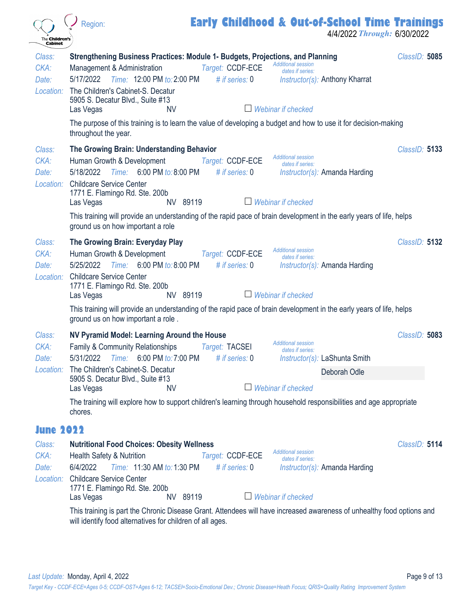| The Children's<br><b>Cabinet</b>     | Region:                                                                                                                                                                                                                                                                                                                                                                 |                                      | <b>Early Childhood &amp; Out-of-School Time Trainings</b><br>4/4/2022 Through: 6/30/2022                                    |               |
|--------------------------------------|-------------------------------------------------------------------------------------------------------------------------------------------------------------------------------------------------------------------------------------------------------------------------------------------------------------------------------------------------------------------------|--------------------------------------|-----------------------------------------------------------------------------------------------------------------------------|---------------|
| Class:<br>CKA:<br>Date:<br>Location: | Strengthening Business Practices: Module 1- Budgets, Projections, and Planning<br>Management & Administration<br>Time: 12:00 PM to: 2:00 PM<br>5/17/2022<br>The Children's Cabinet-S. Decatur<br>5905 S. Decatur Blvd., Suite #13<br>Las Vegas<br>NV<br>The purpose of this training is to learn the value of developing a budget and how to use it for decision-making | Target: CCDF-ECE<br># if series: $0$ | <b>Additional session</b><br>dates if series:<br><i>Instructor(s):</i> Anthony Kharrat<br>$\Box$ Webinar if checked         | ClassID: 5085 |
| Class:<br>CKA:<br>Date:<br>Location: | throughout the year.<br>The Growing Brain: Understanding Behavior<br>Human Growth & Development<br>5/18/2022<br>Time: 6:00 PM to: 8:00 PM<br><b>Childcare Service Center</b><br>1771 E. Flamingo Rd. Ste. 200b<br>Las Vegas<br>NV 89119                                                                                                                                 | Target: CCDF-ECE<br># if series: 0   | <b>Additional session</b><br>dates if series:<br>$Instructor(s):$ Amanda Harding<br>$\Box$ Webinar if checked               | ClassID: 5133 |
|                                      | This training will provide an understanding of the rapid pace of brain development in the early years of life, helps<br>ground us on how important a role                                                                                                                                                                                                               |                                      |                                                                                                                             |               |
| Class:<br>CKA:<br>Date:<br>Location: | The Growing Brain: Everyday Play<br>Human Growth & Development<br>5/25/2022<br>Time:<br>6:00 PM to: 8:00 PM<br><b>Childcare Service Center</b><br>1771 E. Flamingo Rd. Ste. 200b<br>NV 89119<br>Las Vegas                                                                                                                                                               | Target: CCDF-ECE<br># if series: $0$ | <b>Additional session</b><br>dates if series:<br>$Instructor(s):$ Amanda Harding<br>$\Box$ Webinar if checked               | ClassID: 5132 |
|                                      | This training will provide an understanding of the rapid pace of brain development in the early years of life, helps<br>ground us on how important a role.                                                                                                                                                                                                              |                                      |                                                                                                                             |               |
| Class:<br>CKA:<br>Date:<br>Location: | NV Pyramid Model: Learning Around the House<br>Family & Community Relationships<br>5/31/2022<br>Time: 6:00 PM to: 7:00 PM<br>The Children's Cabinet-S. Decatur<br>5905 S. Decatur Blvd., Suite #13<br>Las Vegas<br><b>NV</b>                                                                                                                                            | Target: TACSEI<br># if series: 0     | <b>Additional session</b><br>dates if series:<br>Instructor(s): LaShunta Smith<br>Deborah Odle<br>$\Box$ Webinar if checked | ClassID: 5083 |
|                                      | The training will explore how to support children's learning through household responsibilities and age appropriate<br>chores.                                                                                                                                                                                                                                          |                                      |                                                                                                                             |               |
| <b>June 2022</b>                     |                                                                                                                                                                                                                                                                                                                                                                         |                                      |                                                                                                                             |               |
| Class:<br>CKA:<br>Date:<br>Location: | <b>Nutritional Food Choices: Obesity Wellness</b><br><b>Health Safety &amp; Nutrition</b><br>6/4/2022<br>Time: 11:30 AM to: 1:30 PM<br><b>Childcare Service Center</b><br>1771 E. Flamingo Rd. Ste. 200b<br>NV 89119<br>Las Vegas                                                                                                                                       | Target: CCDF-ECE<br># if series: $0$ | <b>Additional session</b><br>dates if series:<br><i>Instructor(s):</i> Amanda Harding<br>Webinar if checked                 | ClassID: 5114 |

 $\overline{a}$ 

This training is part the Chronic Disease Grant. Attendees will have increased awareness of unhealthy food options and will identify food alternatives for children of all ages.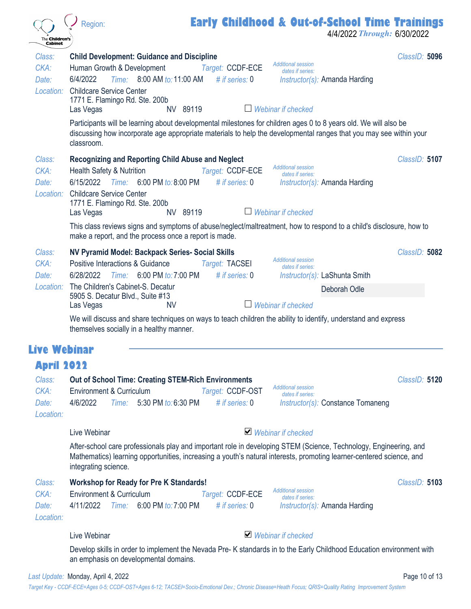| The <b>Children's</b><br><b>Cabinet</b> | <b>Early Childhood &amp; Out-of-School Time Trainings</b><br>Region:<br>4/4/2022 Through: 6/30/2022                                                                                                                                                                                                                                                                                                      |               |
|-----------------------------------------|----------------------------------------------------------------------------------------------------------------------------------------------------------------------------------------------------------------------------------------------------------------------------------------------------------------------------------------------------------------------------------------------------------|---------------|
| Class:<br>CKA:<br>Date:                 | <b>Child Development: Guidance and Discipline</b><br><b>Additional session</b><br>Human Growth & Development<br>Target: CCDF-ECE<br>dates if series:<br>Time: 8:00 AM to: 11:00 AM<br>6/4/2022<br># if series: $0$<br><i>Instructor(s):</i> Amanda Harding                                                                                                                                               | ClassID: 5096 |
|                                         | Location: Childcare Service Center<br>1771 E. Flamingo Rd. Ste. 200b<br>Webinar if checked<br>NV 89119<br>Las Vegas<br>Participants will be learning about developmental milestones for children ages 0 to 8 years old. We will also be                                                                                                                                                                  |               |
|                                         | discussing how incorporate age appropriate materials to help the developmental ranges that you may see within your<br>classroom.                                                                                                                                                                                                                                                                         |               |
| Class:<br>CKA:<br>Date:<br>Location:    | <b>Recognizing and Reporting Child Abuse and Neglect</b><br><b>Additional session</b><br><b>Health Safety &amp; Nutrition</b><br>Target: CCDF-ECE<br>dates if series:<br>6/15/2022<br>Time:<br>6:00 PM to: 8:00 PM<br># if series: $0$<br>Instructor(s): Amanda Harding<br><b>Childcare Service Center</b><br>1771 E. Flamingo Rd. Ste. 200b<br>NV 89119<br>Webinar if checked<br>Las Vegas              | ClassID: 5107 |
|                                         | This class reviews signs and symptoms of abuse/neglect/maltreatment, how to respond to a child's disclosure, how to<br>make a report, and the process once a report is made.                                                                                                                                                                                                                             |               |
| Class:<br>CKA:<br>Date:<br>Location:    | NV Pyramid Model: Backpack Series- Social Skills<br><b>Additional session</b><br><b>Positive Interactions &amp; Guidance</b><br>Target: TACSEI<br>dates if series:<br># if series: 0<br>6/28/2022<br>Time: 6:00 PM to: 7:00 PM<br>Instructor(s): LaShunta Smith<br>The Children's Cabinet-S. Decatur<br>Deborah Odle<br>5905 S. Decatur Blvd., Suite #13<br>Webinar if checked<br>Las Vegas<br><b>NV</b> | ClassID: 5082 |
|                                         | We will discuss and share techniques on ways to teach children the ability to identify, understand and express<br>themselves socially in a healthy manner.                                                                                                                                                                                                                                               |               |
| Live Webinar                            |                                                                                                                                                                                                                                                                                                                                                                                                          |               |
| <b>April 2022</b>                       |                                                                                                                                                                                                                                                                                                                                                                                                          |               |
| Class:<br>CKA:<br>Date:<br>Location:    | <b>Out of School Time: Creating STEM-Rich Environments</b><br><b>Additional session</b><br>Environment & Curriculum<br>Target: CCDF-OST<br>dates if series:<br>4/6/2022<br>Time: 5:30 PM to: 6:30 PM<br># if series: $0$<br>Instructor(s): Constance Tomaneng                                                                                                                                            | ClassID: 5120 |
|                                         | $\vee$ Webinar if checked<br>Live Webinar                                                                                                                                                                                                                                                                                                                                                                |               |
|                                         | After-school care professionals play and important role in developing STEM (Science, Technology, Engineering, and<br>Mathematics) learning opportunities, increasing a youth's natural interests, promoting learner-centered science, and<br>integrating science.                                                                                                                                        |               |
| Class:<br>CKA:<br>Date:<br>Location:    | <b>Workshop for Ready for Pre K Standards!</b><br><b>Additional session</b><br>Environment & Curriculum<br>Target: CCDF-ECE<br>dates if series:<br>6:00 PM to: 7:00 PM<br>4/11/2022<br># if series: $0$<br>Time:<br><i>Instructor(s):</i> Amanda Harding                                                                                                                                                 | ClassID: 5103 |
|                                         | $\vee$ Webinar if checked<br>Live Webinar                                                                                                                                                                                                                                                                                                                                                                |               |
|                                         | Develop skills in order to implement the Nevada Pre-K standards in to the Early Childhood Education environment with<br>an emphasis on developmental domains.                                                                                                                                                                                                                                            |               |

 $\overline{a}$ 

*Target Key - CCDF-ECE=Ages 0-5; CCDF-OST=Ages 6-12; TACSEI=Socio-Emotional Dev.; Chronic Disease=Heath Focus; QRIS=Quality Rating Improvement System*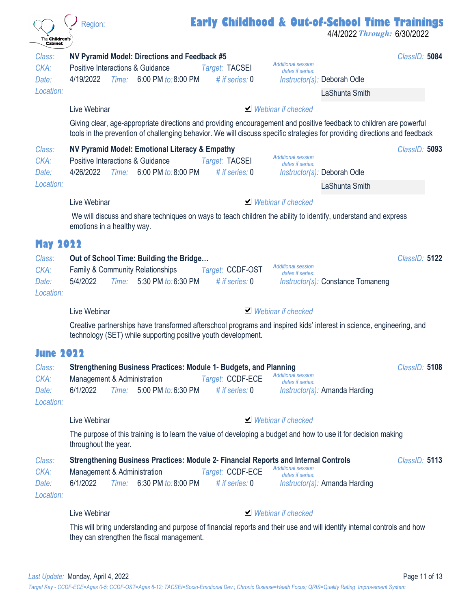| The <b>Children's</b><br><b>Cabinet</b>                 | <b>Early Childhood &amp; Out-of-School Time Trainings</b><br>Region:                                                                                                                                                                                                                           | 4/4/2022 Through: 6/30/2022 |
|---------------------------------------------------------|------------------------------------------------------------------------------------------------------------------------------------------------------------------------------------------------------------------------------------------------------------------------------------------------|-----------------------------|
| Class:<br>CKA:<br>Date:<br>Location:                    | NV Pyramid Model: Directions and Feedback #5<br><b>Additional session</b><br>Positive Interactions & Guidance<br>Target: TACSEI<br>dates if series:<br>4/19/2022<br>Time: 6:00 PM to: 8:00 PM<br># if series: $0$<br><i>Instructor(s):</i> Deborah Odle<br>LaShunta Smith                      | ClassID: 5084               |
|                                                         | $\vee$ Webinar if checked<br>Live Webinar<br>Giving clear, age-appropriate directions and providing encouragement and positive feedback to children are powerful<br>tools in the prevention of challenging behavior. We will discuss specific strategies for providing directions and feedback |                             |
| Class:<br>CKA:<br>Date:<br>Location:                    | NV Pyramid Model: Emotional Literacy & Empathy<br><b>Additional session</b><br>Positive Interactions & Guidance<br>Target: TACSEI<br>dates if series:<br>4/26/2022<br>6:00 PM to: 8:00 PM<br># if series: 0<br>Time:<br><i>Instructor(s):</i> Deborah Odle<br>LaShunta Smith                   | ClassID: 5093               |
|                                                         | $\vee$ Webinar if checked<br>Live Webinar<br>We will discuss and share techniques on ways to teach children the ability to identify, understand and express<br>emotions in a healthy way.                                                                                                      |                             |
| <b>May 2022</b><br>Class:<br>CKA:<br>Date:<br>Location: | Out of School Time: Building the Bridge<br><b>Additional session</b><br><b>Family &amp; Community Relationships</b><br>Target: CCDF-OST<br>dates if series:<br>Time: 5:30 PM to: 6:30 PM<br># if series: $0$<br>5/4/2022<br>Instructor(s): Constance Tomaneng                                  | ClassID: 5122               |
|                                                         | $\blacktriangleright$ Webinar if checked<br>Live Webinar                                                                                                                                                                                                                                       |                             |
|                                                         | Creative partnerships have transformed afterschool programs and inspired kids' interest in science, engineering, and<br>technology (SET) while supporting positive youth development.                                                                                                          |                             |
| lune 2022                                               |                                                                                                                                                                                                                                                                                                |                             |
| Class:<br>CKA:<br>Date:<br>Location:                    | <b>Strengthening Business Practices: Module 1- Budgets, and Planning</b><br><b>Additional session</b><br>Target: CCDF-ECE<br>Management & Administration<br>dates if series:<br>Time: 5:00 PM to: 6:30 PM<br># if series: $0$<br>6/1/2022<br><i>Instructor(s):</i> Amanda Harding              | ClassID: 5108               |
|                                                         | $\vee$ Webinar if checked<br>Live Webinar                                                                                                                                                                                                                                                      |                             |
|                                                         | The purpose of this training is to learn the value of developing a budget and how to use it for decision making<br>throughout the year.                                                                                                                                                        |                             |
| Class:<br>CKA:<br>Date:<br>Location:                    | Strengthening Business Practices: Module 2- Financial Reports and Internal Controls<br><b>Additional session</b><br>Management & Administration<br>Target: CCDF-ECE<br>dates if series:<br>Time: 6:30 PM to: 8:00 PM<br>6/1/2022<br># if series: $0$<br>Instructor(s): Amanda Harding          | ClassID: 5113               |
|                                                         | $\vee$ Webinar if checked<br>Live Webinar                                                                                                                                                                                                                                                      |                             |
|                                                         | This will bring understanding and purpose of financial reports and their use and will identify internal controls and how<br>they can strengthen the fiscal management.                                                                                                                         |                             |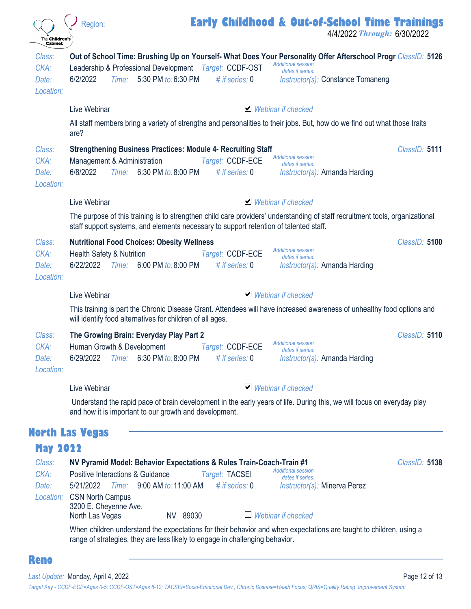| The <b>Children's</b><br><b>Cabinet</b> | <b>Early Childhood &amp; Out-of-School Time Trainings</b><br>Region:<br>4/4/2022 Through: 6/30/2022                                                                                                                                                                                                                                                                                                                                                                                                                               |
|-----------------------------------------|-----------------------------------------------------------------------------------------------------------------------------------------------------------------------------------------------------------------------------------------------------------------------------------------------------------------------------------------------------------------------------------------------------------------------------------------------------------------------------------------------------------------------------------|
| Class:<br>CKA:<br>Date:<br>Location:    | Out of School Time: Brushing Up on Yourself- What Does Your Personality Offer Afterschool Progr ClassID: 5126<br><b>Additional session</b><br>Leadership & Professional Development Target: CCDF-OST<br>dates if series:<br>Time: 5:30 PM to: 6:30 PM<br>6/2/2022<br># if series: 0<br>Instructor(s): Constance Tomaneng                                                                                                                                                                                                          |
|                                         | $\blacktriangleright$ Webinar if checked<br>Live Webinar<br>All staff members bring a variety of strengths and personalities to their jobs. But, how do we find out what those traits<br>are?                                                                                                                                                                                                                                                                                                                                     |
| Class:<br>CKA:<br>Date:<br>Location:    | <b>Strengthening Business Practices: Module 4- Recruiting Staff</b><br>ClassID: 5111<br><b>Additional session</b><br>Management & Administration<br>Target: CCDF-ECE<br>dates if series:<br>Time: 6:30 PM to: 8:00 PM<br>6/8/2022<br># if series: $0$<br>$Instructor(s)$ : Amanda Harding                                                                                                                                                                                                                                         |
|                                         | $\blacktriangleright$ Webinar if checked<br>Live Webinar                                                                                                                                                                                                                                                                                                                                                                                                                                                                          |
|                                         | The purpose of this training is to strengthen child care providers' understanding of staff recruitment tools, organizational<br>staff support systems, and elements necessary to support retention of talented staff.                                                                                                                                                                                                                                                                                                             |
| Class:<br>CKA:<br>Date:<br>Location:    | <b>Nutritional Food Choices: Obesity Wellness</b><br>ClassID: 5100<br><b>Additional session</b><br><b>Health Safety &amp; Nutrition</b><br>Target: CCDF-ECE<br>dates if series:<br>6/22/2022<br>Time:<br>6:00 PM to: 8:00 PM<br># if series: 0<br>Instructor(s): Amanda Harding                                                                                                                                                                                                                                                   |
|                                         | $\blacktriangleright$ Webinar if checked<br>Live Webinar                                                                                                                                                                                                                                                                                                                                                                                                                                                                          |
|                                         | This training is part the Chronic Disease Grant. Attendees will have increased awareness of unhealthy food options and<br>will identify food alternatives for children of all ages.                                                                                                                                                                                                                                                                                                                                               |
| Class:<br>CKA:<br>Date:<br>Location:    | The Growing Brain: Everyday Play Part 2<br>ClassID: 5110<br><b>Additional session</b><br>Human Growth & Development<br>Target: CCDF-ECE<br>dates if series:<br>Time: 6:30 PM to: 8:00 PM<br># if series: 0<br>Instructor(s): Amanda Harding<br>6/29/2022                                                                                                                                                                                                                                                                          |
|                                         | $\blacktriangleright$ Webinar if checked<br>Live Webinar                                                                                                                                                                                                                                                                                                                                                                                                                                                                          |
|                                         | Understand the rapid pace of brain development in the early years of life. During this, we will focus on everyday play<br>and how it is important to our growth and development.                                                                                                                                                                                                                                                                                                                                                  |
|                                         | <b>North Las Vegas</b>                                                                                                                                                                                                                                                                                                                                                                                                                                                                                                            |
| <b>May 2022</b>                         |                                                                                                                                                                                                                                                                                                                                                                                                                                                                                                                                   |
| Class:<br>CKA:<br>Date:<br>Location:    | NV Pyramid Model: Behavior Expectations & Rules Train-Coach-Train #1<br>ClassID: 5138<br><b>Additional session</b><br>Positive Interactions & Guidance<br>Target: TACSEI<br>dates if series:<br>5/21/2022<br>Time: 9:00 AM to: 11:00 AM<br># if series: $0$<br><i>Instructor(s):</i> Minerva Perez<br><b>CSN North Campus</b><br>3200 E. Cheyenne Ave.<br>Webinar if checked<br>NV 89030<br>North Las Vegas<br>When children understand the expectations for their behavior and when expectations are taught to children, using a |
| <b>Reno</b>                             | range of strategies, they are less likely to engage in challenging behavior.                                                                                                                                                                                                                                                                                                                                                                                                                                                      |

Last Update: Monday, April 4, 2022 **Page 12 of 13** 

*Target Key - CCDF-ECE=Ages 0-5; CCDF-OST=Ages 6-12; TACSEI=Socio-Emotional Dev.; Chronic Disease=Heath Focus; QRIS=Quality Rating Improvement System*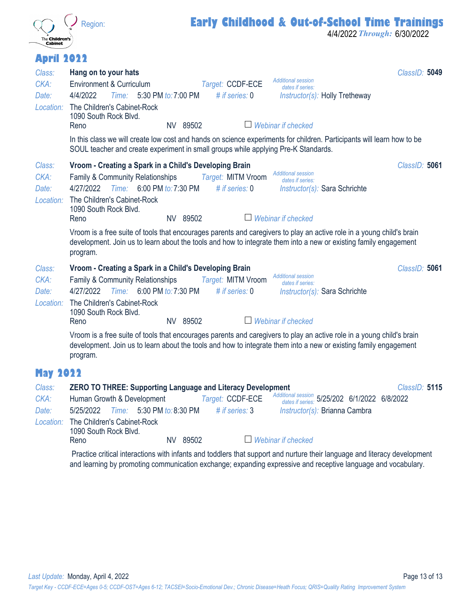

4/4/2022 *Through:* 6/30/2022

#### **April 2022**

| Class:<br>CKA:<br>Date:<br>Location:                    | Hang on to your hats<br>ClassID: 5049<br><b>Additional session</b><br>Environment & Curriculum<br>Target: CCDF-ECE<br>dates if series:<br>4/4/2022<br>Time: 5:30 PM to: 7:00 PM<br># if series: $0$<br>Instructor(s): Holly Tretheway<br>The Children's Cabinet-Rock<br>1090 South Rock Blvd.<br>Webinar if checked<br>NV 89502<br>Reno<br>In this class we will create low cost and hands on science experiments for children. Participants will learn how to be<br>SOUL teacher and create experiment in small groups while applying Pre-K Standards.                                                                                      |
|---------------------------------------------------------|----------------------------------------------------------------------------------------------------------------------------------------------------------------------------------------------------------------------------------------------------------------------------------------------------------------------------------------------------------------------------------------------------------------------------------------------------------------------------------------------------------------------------------------------------------------------------------------------------------------------------------------------|
| Class:<br>CKA:<br>Date:<br>Location:                    | Vroom - Creating a Spark in a Child's Developing Brain<br>ClassID: 5061<br><b>Additional session</b><br>Target: MITM Vroom<br>Family & Community Relationships<br>dates if series:<br>Time: 6:00 PM to: 7:30 PM<br>4/27/2022<br># if series: $0$<br>Instructor(s): Sara Schrichte<br>The Children's Cabinet-Rock<br>1090 South Rock Blvd.<br>Webinar if checked<br>NV 89502<br>Reno<br>Vroom is a free suite of tools that encourages parents and caregivers to play an active role in a young child's brain<br>development. Join us to learn about the tools and how to integrate them into a new or existing family engagement<br>program. |
| Class:<br>CKA:<br>Date:<br>Location:                    | Vroom - Creating a Spark in a Child's Developing Brain<br>ClassID: 5061<br><b>Additional session</b><br>Family & Community Relationships<br>Target: MITM Vroom<br>dates if series:<br>4/27/2022<br>Time: 6:00 PM to: 7:30 PM<br># if series: $0$<br>Instructor(s): Sara Schrichte<br>The Children's Cabinet-Rock<br>1090 South Rock Blvd.<br>NV 89502<br>Reno<br>Webinar if checked<br>Vroom is a free suite of tools that encourages parents and caregivers to play an active role in a young child's brain<br>development. Join us to learn about the tools and how to integrate them into a new or existing family engagement<br>program. |
| <b>May 2022</b><br>Class:<br>CKA:<br>Date:<br>Location: | <b>ZERO TO THREE: Supporting Language and Literacy Development</b><br>ClassID: 5115<br>Additional session 5/25/202 6/1/2022 6/8/2022<br>Human Growth & Development<br>Target: CCDF-ECE<br>5:30 PM to: 8:30 PM<br># if series: 3<br>5/25/2022<br>Time:<br>Instructor(s): Brianna Cambra<br>The Children's Cabinet-Rock<br>1090 South Rock Blvd.<br>NV 89502<br>$\Box$ Webinar if checked<br>Reno<br>Practice critical interactions with infants and toddlers that support and nurture their language and literacy development                                                                                                                 |

and learning by promoting communication exchange; expanding expressive and receptive language and vocabulary.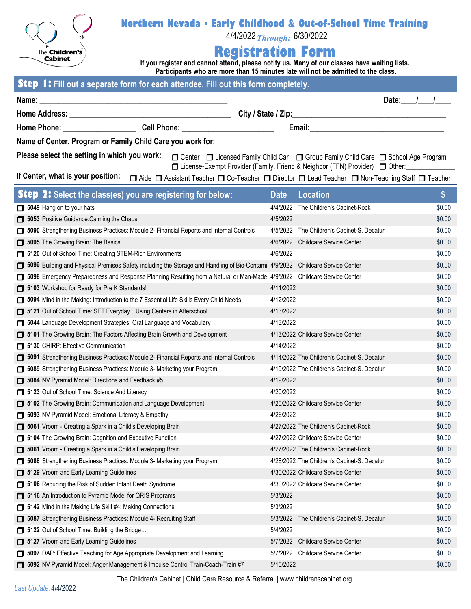

#### **Northern Nevada • Early Childhood & Out-of-School Time Training**

4/4/2022*Through:* 6/30/2022

#### **Registration Form**

**If you register and cannot attend, please notify us. Many of our classes have waiting lists. Participants who are more than 15 minutes late will not be admitted to the class.** 

| Step 1: Fill out a separate form for each attendee. Fill out this form completely.                                                                                                                                     |                                             |                     |  |  |  |  |  |  |  |
|------------------------------------------------------------------------------------------------------------------------------------------------------------------------------------------------------------------------|---------------------------------------------|---------------------|--|--|--|--|--|--|--|
|                                                                                                                                                                                                                        |                                             | Date: $\frac{1}{1}$ |  |  |  |  |  |  |  |
|                                                                                                                                                                                                                        |                                             |                     |  |  |  |  |  |  |  |
|                                                                                                                                                                                                                        |                                             |                     |  |  |  |  |  |  |  |
|                                                                                                                                                                                                                        |                                             |                     |  |  |  |  |  |  |  |
|                                                                                                                                                                                                                        |                                             |                     |  |  |  |  |  |  |  |
| Please select the setting in which you work:<br>□ Center □ Licensed Family Child Car □ Group Family Child Care □ School Age Program                                                                                    |                                             |                     |  |  |  |  |  |  |  |
| □ License-Exempt Provider (Family, Friend & Neighbor (FFN) Provider) □ Other:<br>If Center, what is your position:<br>□ Aide □ Assistant Teacher □ Co-Teacher □ Director □ Lead Teacher □ Non-Teaching Staff □ Teacher |                                             |                     |  |  |  |  |  |  |  |
|                                                                                                                                                                                                                        |                                             |                     |  |  |  |  |  |  |  |
| <b>Step 2:</b> Select the class(es) you are registering for below:                                                                                                                                                     | <b>Location</b><br><b>Date</b>              | \$                  |  |  |  |  |  |  |  |
| 5049 Hang on to your hats                                                                                                                                                                                              | 4/4/2022<br>The Children's Cabinet-Rock     | \$0.00              |  |  |  |  |  |  |  |
| 5053 Positive Guidance: Calming the Chaos                                                                                                                                                                              | 4/5/2022                                    | \$0.00              |  |  |  |  |  |  |  |
| 5090 Strengthening Business Practices: Module 2- Financial Reports and Internal Controls                                                                                                                               | 4/5/2022 The Children's Cabinet-S. Decatur  | \$0.00              |  |  |  |  |  |  |  |
| 5095 The Growing Brain: The Basics                                                                                                                                                                                     | 4/6/2022 Childcare Service Center           | \$0.00              |  |  |  |  |  |  |  |
| 5120 Out of School Time: Creating STEM-Rich Environments                                                                                                                                                               | 4/6/2022                                    | \$0.00              |  |  |  |  |  |  |  |
| □ 5099 Building and Physical Premises Safety including the Storage and Handling of Bio-Contami 4/9/2022 Childcare Service Center                                                                                       |                                             | \$0.00              |  |  |  |  |  |  |  |
| 5098 Emergency Preparedness and Response Planning Resulting from a Natural or Man-Made 4/9/2022 Childcare Service Center                                                                                               |                                             | \$0.00              |  |  |  |  |  |  |  |
| 5103 Workshop for Ready for Pre K Standards!                                                                                                                                                                           | 4/11/2022                                   | \$0.00              |  |  |  |  |  |  |  |
| 5094 Mind in the Making: Introduction to the 7 Essential Life Skills Every Child Needs                                                                                                                                 | 4/12/2022                                   | \$0.00              |  |  |  |  |  |  |  |
| <b>5121</b> Out of School Time: SET EverydayUsing Centers in Afterschool                                                                                                                                               | 4/13/2022                                   | \$0.00              |  |  |  |  |  |  |  |
| <b>5044</b> Language Development Strategies: Oral Language and Vocabulary                                                                                                                                              | 4/13/2022                                   | \$0.00              |  |  |  |  |  |  |  |
| 5101 The Growing Brain: The Factors Affecting Brain Growth and Development                                                                                                                                             | 4/13/2022 Childcare Service Center          | \$0.00              |  |  |  |  |  |  |  |
| 5130 CHIRP: Effective Communication                                                                                                                                                                                    | 4/14/2022                                   | \$0.00              |  |  |  |  |  |  |  |
| 5091 Strengthening Business Practices: Module 2- Financial Reports and Internal Controls                                                                                                                               | 4/14/2022 The Children's Cabinet-S. Decatur | \$0.00              |  |  |  |  |  |  |  |
| <b>5089</b> Strengthening Business Practices: Module 3- Marketing your Program                                                                                                                                         | 4/19/2022 The Children's Cabinet-S. Decatur | \$0.00              |  |  |  |  |  |  |  |
| 5084 NV Pyramid Model: Directions and Feedback #5                                                                                                                                                                      | 4/19/2022                                   | \$0.00              |  |  |  |  |  |  |  |
| 5123 Out of School Time: Science And Literacy                                                                                                                                                                          | 4/20/2022                                   | \$0.00              |  |  |  |  |  |  |  |
| 5102 The Growing Brain: Communication and Language Development                                                                                                                                                         | 4/20/2022 Childcare Service Center          | \$0.00              |  |  |  |  |  |  |  |
| 5093 NV Pyramid Model: Emotional Literacy & Empathy                                                                                                                                                                    | 4/26/2022                                   | \$0.00              |  |  |  |  |  |  |  |
| <b>5061</b> Vroom - Creating a Spark in a Child's Developing Brain                                                                                                                                                     | 4/27/2022 The Children's Cabinet-Rock       | \$0.00              |  |  |  |  |  |  |  |
| <b>5104</b> The Growing Brain: Cognition and Executive Function                                                                                                                                                        | 4/27/2022 Childcare Service Center          | \$0.00              |  |  |  |  |  |  |  |
| <b>5061</b> Vroom - Creating a Spark in a Child's Developing Brain                                                                                                                                                     | 4/27/2022 The Children's Cabinet-Rock       | \$0.00              |  |  |  |  |  |  |  |
| 5088 Strengthening Business Practices: Module 3- Marketing your Program                                                                                                                                                | 4/28/2022 The Children's Cabinet-S. Decatur | \$0.00              |  |  |  |  |  |  |  |
| 5129 Vroom and Early Learning Guidelines                                                                                                                                                                               | 4/30/2022 Childcare Service Center          | \$0.00              |  |  |  |  |  |  |  |
| <b>5106</b> Reducing the Risk of Sudden Infant Death Syndrome                                                                                                                                                          | 4/30/2022 Childcare Service Center          | \$0.00              |  |  |  |  |  |  |  |
| <b>5116</b> An Introduction to Pyramid Model for QRIS Programs                                                                                                                                                         | 5/3/2022                                    | \$0.00              |  |  |  |  |  |  |  |
| 5142 Mind in the Making Life Skill #4: Making Connections                                                                                                                                                              | 5/3/2022                                    | \$0.00              |  |  |  |  |  |  |  |
| <b>5087</b> Strengthening Business Practices: Module 4- Recruiting Staff                                                                                                                                               | 5/3/2022 The Children's Cabinet-S. Decatur  | \$0.00              |  |  |  |  |  |  |  |
| <b>5122</b> Out of School Time: Building the Bridge                                                                                                                                                                    | 5/4/2022                                    | \$0.00              |  |  |  |  |  |  |  |
| 5127 Vroom and Early Learning Guidelines                                                                                                                                                                               | 5/7/2022 Childcare Service Center           | \$0.00              |  |  |  |  |  |  |  |
| 5097 DAP: Effective Teaching for Age Appropriate Development and Learning                                                                                                                                              | 5/7/2022 Childcare Service Center           | \$0.00              |  |  |  |  |  |  |  |
| 5092 NV Pyramid Model: Anger Management & Impulse Control Train-Coach-Train #7                                                                                                                                         | 5/10/2022                                   | \$0.00              |  |  |  |  |  |  |  |